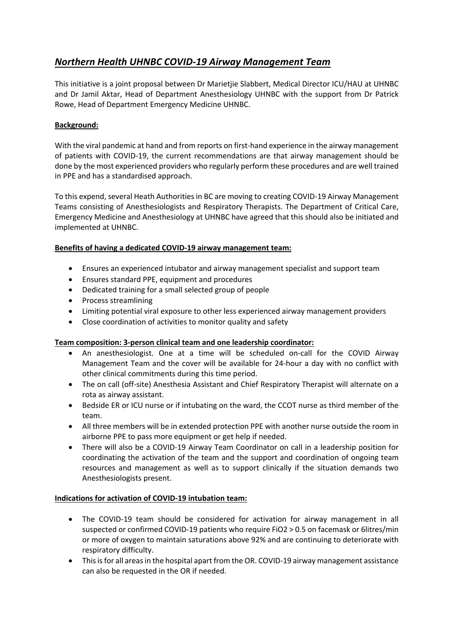# *Northern Health UHNBC COVID-19 Airway Management Team*

This initiative is a joint proposal between Dr Marietjie Slabbert, Medical Director ICU/HAU at UHNBC and Dr Jamil Aktar, Head of Department Anesthesiology UHNBC with the support from Dr Patrick Rowe, Head of Department Emergency Medicine UHNBC.

## **Background:**

With the viral pandemic at hand and from reports on first-hand experience in the airway management of patients with COVID-19, the current recommendations are that airway management should be done by the most experienced providers who regularly perform these procedures and are well trained in PPE and has a standardised approach.

To this expend, several Heath Authorities in BC are moving to creating COVID-19 Airway Management Teams consisting of Anesthesiologists and Respiratory Therapists. The Department of Critical Care, Emergency Medicine and Anesthesiology at UHNBC have agreed that this should also be initiated and implemented at UHNBC.

## **Benefits of having a dedicated COVID-19 airway management team:**

- Ensures an experienced intubator and airway management specialist and support team
- Ensures standard PPE, equipment and procedures
- Dedicated training for a small selected group of people
- Process streamlining
- Limiting potential viral exposure to other less experienced airway management providers
- Close coordination of activities to monitor quality and safety

## **Team composition: 3-person clinical team and one leadership coordinator:**

- An anesthesiologist. One at a time will be scheduled on-call for the COVID Airway Management Team and the cover will be available for 24-hour a day with no conflict with other clinical commitments during this time period.
- The on call (off-site) Anesthesia Assistant and Chief Respiratory Therapist will alternate on a rota as airway assistant.
- Bedside ER or ICU nurse or if intubating on the ward, the CCOT nurse as third member of the team.
- All three members will be in extended protection PPE with another nurse outside the room in airborne PPE to pass more equipment or get help if needed.
- There will also be a COVID-19 Airway Team Coordinator on call in a leadership position for coordinating the activation of the team and the support and coordination of ongoing team resources and management as well as to support clinically if the situation demands two Anesthesiologists present.

## **Indications for activation of COVID-19 intubation team:**

- The COVID-19 team should be considered for activation for airway management in all suspected or confirmed COVID-19 patients who require FiO2 > 0.5 on facemask or 6litres/min or more of oxygen to maintain saturations above 92% and are continuing to deteriorate with respiratory difficulty.
- This is for all areas in the hospital apart from the OR. COVID-19 airway management assistance can also be requested in the OR if needed.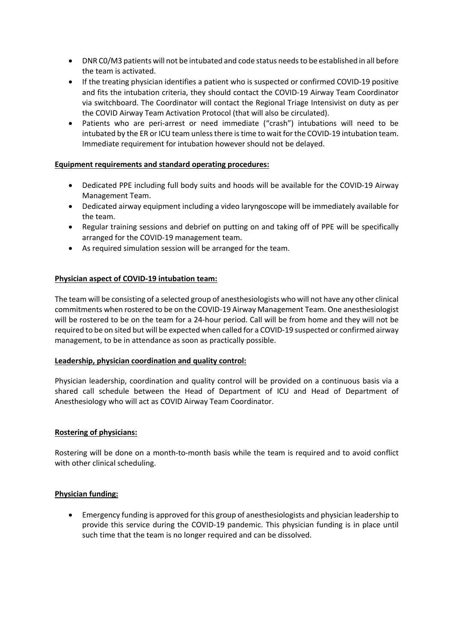- DNR C0/M3 patients will not be intubated and code status needs to be established in all before the team is activated.
- If the treating physician identifies a patient who is suspected or confirmed COVID-19 positive and fits the intubation criteria, they should contact the COVID-19 Airway Team Coordinator via switchboard. The Coordinator will contact the Regional Triage Intensivist on duty as per the COVID Airway Team Activation Protocol (that will also be circulated).
- Patients who are peri-arrest or need immediate ("crash") intubations will need to be intubated by the ER or ICU team unless there is time to wait for the COVID-19 intubation team. Immediate requirement for intubation however should not be delayed.

#### **Equipment requirements and standard operating procedures:**

- Dedicated PPE including full body suits and hoods will be available for the COVID-19 Airway Management Team.
- Dedicated airway equipment including a video laryngoscope will be immediately available for the team.
- Regular training sessions and debrief on putting on and taking off of PPE will be specifically arranged for the COVID-19 management team.
- As required simulation session will be arranged for the team.

## **Physician aspect of COVID-19 intubation team:**

The team will be consisting of a selected group of anesthesiologists who will not have any other clinical commitments when rostered to be on the COVID-19 Airway Management Team. One anesthesiologist will be rostered to be on the team for a 24-hour period. Call will be from home and they will not be required to be on sited but will be expected when called for a COVID-19 suspected or confirmed airway management, to be in attendance as soon as practically possible.

## **Leadership, physician coordination and quality control:**

Physician leadership, coordination and quality control will be provided on a continuous basis via a shared call schedule between the Head of Department of ICU and Head of Department of Anesthesiology who will act as COVID Airway Team Coordinator.

## **Rostering of physicians:**

Rostering will be done on a month-to-month basis while the team is required and to avoid conflict with other clinical scheduling.

## **Physician funding:**

• Emergency funding is approved for this group of anesthesiologists and physician leadership to provide this service during the COVID-19 pandemic. This physician funding is in place until such time that the team is no longer required and can be dissolved.